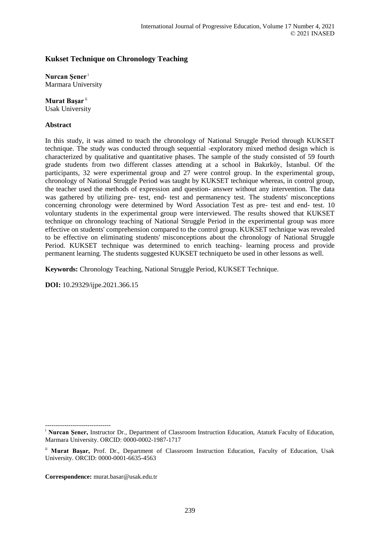# **Kukset Technique on Chronology Teaching**

**Nurcan Şener** <sup>i</sup> Marmara University

**Murat Başar** ii Usak University

## **Abstract**

In this study, it was aimed to teach the chronology of National Struggle Period through KUKSET technique. The study was conducted through sequential -exploratory mixed method design which is characterized by qualitative and quantitative phases. The sample of the study consisted of 59 fourth grade students from two different classes attending at a school in Bakırköy, İstanbul. Of the participants, 32 were experimental group and 27 were control group. In the experimental group, chronology of National Struggle Period was taught by KUKSET technique whereas, in control group, the teacher used the methods of expression and question- answer without any intervention. The data was gathered by utilizing pre- test, end- test and permanency test. The students' misconceptions concerning chronology were determined by Word Association Test as pre- test and end- test. 10 voluntary students in the experimental group were interviewed. The results showed that KUKSET technique on chronology teaching of National Struggle Period in the experimental group was more effective on students' comprehension compared to the control group. KUKSET technique was revealed to be effective on eliminating students' misconceptions about the chronology of National Struggle Period. KUKSET technique was determined to enrich teaching- learning process and provide permanent learning. The students suggested KUKSET techniqueto be used in other lessons as well.

**Keywords:** Chronology Teaching, National Struggle Period, KUKSET Technique.

**DOI:** 10.29329/ijpe.2021.366.15

**Correspondence:** murat.basar@usak.edu.tr

-------------------------------

<sup>i</sup> **Nurcan Şener,** Instructor Dr., Department of Classroom Instruction Education, Ataturk Faculty of Education, Marmara University. ORCID: 0000-0002-1987-1717

ii **Murat Başar,** Prof. Dr., Department of Classroom Instruction Education, Faculty of Education, Usak University. ORCID: 0000-0001-6635-4563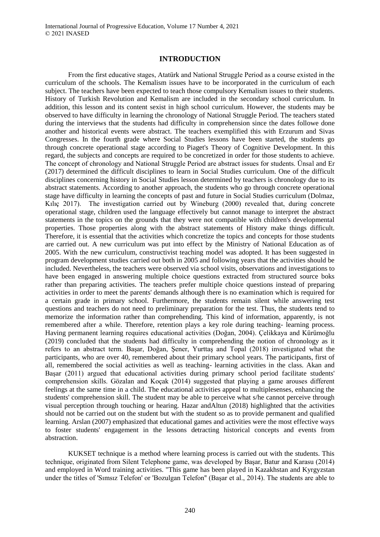## **INTRODUCTION**

From the first educative stages, Atatürk and National Struggle Period as a course existed in the curriculum of the schools. The Kemalism issues have to be incorporated in the curriculum of each subject. The teachers have been expected to teach those compulsory Kemalism issues to their students. History of Turkish Revolution and Kemalism are included in the secondary school curriculum. In addition, this lesson and its content sexist in high school curriculum. However, the students may be observed to have difficulty in learning the chronology of National Struggle Period. The teachers stated during the interviews that the students had difficulty in comprehension since the dates followe done another and historical events were abstract. The teachers exemplified this with Erzurum and Sivas Congresses. In the fourth grade where Social Studies lessons have been started, the students go through concrete operational stage according to Piaget's Theory of Cognitive Development. In this regard, the subjects and concepts are required to be concretized in order for those students to achieve. The concept of chronology and National Struggle Period are abstract issues for students. Ünsal and Er (2017) determined the difficult disciplines to learn in Social Studies curriculum. One of the difficult disciplines concerning history in Social Studies lesson determined by teachers is chronology due to its abstract statements. According to another approach, the students who go through concrete operational stage have difficulty in learning the concepts of past and future in Social Studies curriculum (Dolmaz, Kılıç 2017). The investigation carried out by Wineburg (2000) revealed that, during concrete operational stage, children used the language effectively but cannot manage to interpret the abstract statements in the topics on the grounds that they were not compatible with children's developmental properties. Those properties along with the abstract statements of History make things difficult. Therefore, it is essential that the activities which concretize the topics and concepts for those students are carried out. A new curriculum was put into effect by the Ministry of National Education as of 2005. With the new curriculum, constructivist teaching model was adopted. It has been suggested in program development studies carried out both in 2005 and following years that the activities should be included. Nevertheless, the teachers were observed via school visits, observations and investigations to have been engaged in answering multiple choice questions extracted from structured source boks rather than preparing activities. The teachers prefer multiple choice questions instead of preparing activities in order to meet the parents' demands although there is no examination which is required for a certain grade in primary school. Furthermore, the students remain silent while answering test questions and teachers do not need to preliminary preparation for the test. Thus, the students tend to memorize the information rather than comprehending. This kind of information, apparently, is not remembered after a while. Therefore, retention plays a key role during teaching- learning process. Having permanent learning requires educational activities (Doğan, 2004). Çelikkaya and Kürümoğlu (2019) concluded that the students had difficulty in comprehending the notion of chronology as it refers to an abstract term. Başar, Doğan, Şener, Yurttaş and Topal (2018) investigated what the participants, who are over 40, remembered about their primary school years. The participants, first of all, remembered the social activities as well as teaching- learning activities in the class. Akan and Başar (2011) argued that educational activities during primary school period facilitate students' comprehension skills. Gözalan and Koçak (2014) suggested that playing a game arouses different feelings at the same time in a child. The educational activities appeal to multiplesenses, enhancing the students' comprehension skill. The student may be able to perceive what s/he cannot perceive through visual perception through touching or hearing. Hazar andAltun (2018) highlighted that the activities should not be carried out on the student but with the student so as to provide permanent and qualified learning. Arslan (2007) emphasized that educational games and activities were the most effective ways to foster students' engagement in the lessons detracting historical concepts and events from abstraction.

KUKSET technique is a method where learning process is carried out with the students. This technique, originated from Silent Telephone game, was developed by Başar, Batur and Karasu (2014) and employed in Word training activities. "This game has been played in Kazakhstan and Kyrgyzstan under the titles of 'Sımsız Telefon' or 'Bozulgan Telefon'' (Başar et al., 2014). The students are able to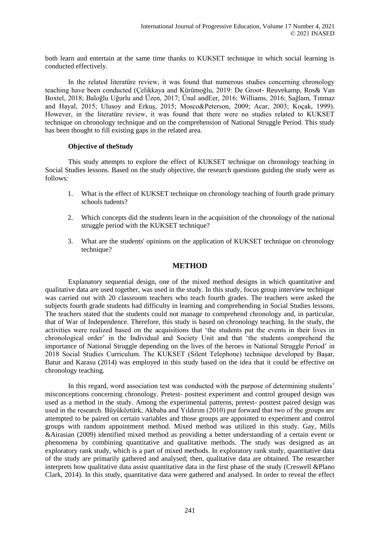both learn and entertain at the same time thanks to KUKSET technique in which social learning is conducted effectively.

In the related literatüre review, it was found that numerous studies concerning chronology teaching have been conducted (Çelikkaya and Kürümoğlu, 2019: De Groot- Reuvekamp, Ros& Van Boxtel, 2018; Baloğlu Uğurlu and Üzen, 2017; Ünal andEer, 2016; Williams, 2016; Sağlam, Tınmaz and Hayal, 2015; Ulusoy and Erkuş, 2015; Mosco&Peterson, 2009; Acar, 2003; Koçak, 1999). However, in the literatüre review, it was found that there were no studies related to KUKSET technique on chronology technique and on the comprehension of National Struggle Period. This study has been thought to fill existing gaps in the related area.

## **Objective of theStudy**

This study attempts to explore the effect of KUKSET technique on chronology teaching in Social Studies lessons. Based on the study objective, the research questions guiding the study were as follows:

- 1. What is the effect of KUKSET technique on chronology teaching of fourth grade primary schools tudents?
- 2. Which concepts did the students learn in the acquisition of the chronology of the national struggle period with the KUKSET technique?
- 3. What are the students' opinions on the application of KUKSET technique on chronology technique?

# **METHOD**

Explanatory sequential design, one of the mixed method designs in which quantitative and qualitative data are used together, was used in the study. In this study, focus group interview technique was carried out with 20 classroom teachers who teach fourth grades. The teachers were asked the subjects fourth grade students had difficulty in learning and comprehending in Social Studies lessons. The teachers stated that the students could not manage to comprehend chronology and, in particular, that of War of Independence. Therefore, this study is based on chronology teaching. In the study, the activities were realized based on the acquisitions that 'the students put the events in their lives in chronological order' in the Individual and Society Unit and that 'the students comprehend the importance of National Struggle depending on the lives of the heroes in National Struggle Period' in 2018 Social Studies Curriculum. The KUKSET (Silent Telephone) technique developed by Başar, Batur and Karasu (2014) was employed in this study based on the idea that it could be effective on chronology teaching.

In this regard, word association test was conducted with the purpose of determining students' misconceptions concerning chronology. Pretest- posttest experiment and control grouped design was used as a method in the study. Among the experimental patterns, pretest- posttest paired design was used in the research. Büyüköztürk, Akbaba and Yıldırım (2010) put forward that two of the groups are attempted to be paired on certain variables and those groups are appointed to experiment and control groups with random appointment method. Mixed method was utilized in this study. Gay, Mills &Airasian (2009) identified mixed method as providing a better understanding of a certain event or phenomena by combining quantitative and qualitative methods. The study was designed as an exploratory rank study, which is a part of mixed methods. In exploratory rank study, quantitative data of the study are primarily gathered and analysed; then, qualitative data are obtained. The researcher interprets how qualitative data assist quantitative data in the first phase of the study (Creswell &Plano Clark, 2014). In this study, quantitative data were gathered and analysed. In order to reveal the effect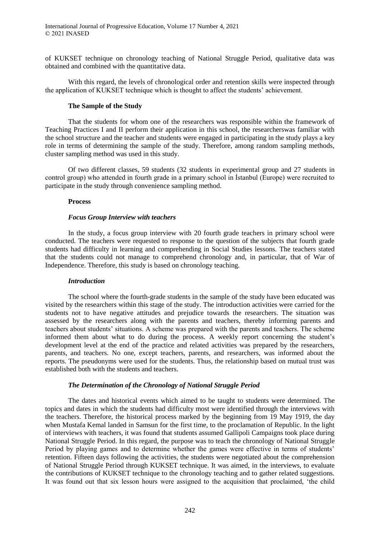of KUKSET technique on chronology teaching of National Struggle Period, qualitative data was obtained and combined with the quantitative data.

With this regard, the levels of chronological order and retention skills were inspected through the application of KUKSET technique which is thought to affect the students' achievement.

## **The Sample of the Study**

That the students for whom one of the researchers was responsible within the framework of Teaching Practices I and II perform their application in this school, the researcherswas familiar with the school structure and the teacher and students were engaged in participating in the study plays a key role in terms of determining the sample of the study. Therefore, among random sampling methods, cluster sampling method was used in this study.

Of two different classes, 59 students (32 students in experimental group and 27 students in control group) who attended in fourth grade in a primary school in İstanbul (Europe) were recruited to participate in the study through convenience sampling method.

## **Process**

## *Focus Group Interview with teachers*

In the study, a focus group interview with 20 fourth grade teachers in primary school were conducted. The teachers were requested to response to the question of the subjects that fourth grade students had difficulty in learning and comprehending in Social Studies lessons. The teachers stated that the students could not manage to comprehend chronology and, in particular, that of War of Independence. Therefore, this study is based on chronology teaching.

#### *Introduction*

The school where the fourth-grade students in the sample of the study have been educated was visited by the researchers within this stage of the study. The introduction activities were carried for the students not to have negative attitudes and prejudice towards the researchers. The situation was assessed by the researchers along with the parents and teachers, thereby informing parents and teachers about students' situations. A scheme was prepared with the parents and teachers. The scheme informed them about what to do during the process. A weekly report concerning the student's development level at the end of the practice and related activities was prepared by the researchers, parents, and teachers. No one, except teachers, parents, and researchers, was informed about the reports. The pseudonyms were used for the students. Thus, the relationship based on mutual trust was established both with the students and teachers.

#### *The Determination of the Chronology of National Struggle Period*

The dates and historical events which aimed to be taught to students were determined. The topics and dates in which the students had difficulty most were identified through the interviews with the teachers. Therefore, the historical process marked by the beginning from 19 May 1919, the day when Mustafa Kemal landed in Samsun for the first time, to the proclamation of Republic. In the light of interviews with teachers, it was found that students assumed Gallipoli Campaigns took place during National Struggle Period. In this regard, the purpose was to teach the chronology of National Struggle Period by playing games and to determine whether the games were effective in terms of students' retention. Fifteen days following the activities, the students were negotiated about the comprehension of National Struggle Period through KUKSET technique. It was aimed, in the interviews, to evaluate the contributions of KUKSET technique to the chronology teaching and to gather related suggestions. It was found out that six lesson hours were assigned to the acquisition that proclaimed, 'the child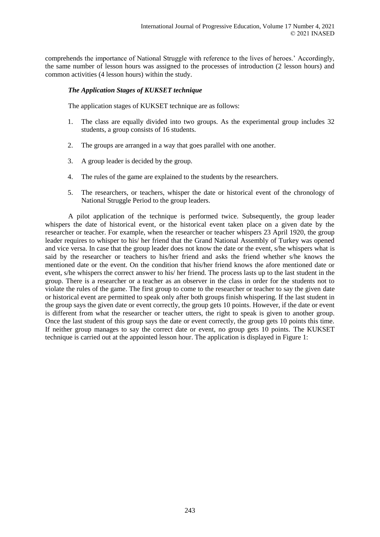comprehends the importance of National Struggle with reference to the lives of heroes.' Accordingly, the same number of lesson hours was assigned to the processes of introduction (2 lesson hours) and common activities (4 lesson hours) within the study.

# *The Application Stages of KUKSET technique*

The application stages of KUKSET technique are as follows:

- 1. The class are equally divided into two groups. As the experimental group includes 32 students, a group consists of 16 students.
- 2. The groups are arranged in a way that goes parallel with one another.
- 3. A group leader is decided by the group.
- 4. The rules of the game are explained to the students by the researchers.
- 5. The researchers, or teachers, whisper the date or historical event of the chronology of National Struggle Period to the group leaders.

A pilot application of the technique is performed twice. Subsequently, the group leader whispers the date of historical event, or the historical event taken place on a given date by the researcher or teacher. For example, when the researcher or teacher whispers 23 April 1920, the group leader requires to whisper to his/ her friend that the Grand National Assembly of Turkey was opened and vice versa. In case that the group leader does not know the date or the event, s/he whispers what is said by the researcher or teachers to his/her friend and asks the friend whether s/he knows the mentioned date or the event. On the condition that his/her friend knows the afore mentioned date or event, s/he whispers the correct answer to his/ her friend. The process lasts up to the last student in the group. There is a researcher or a teacher as an observer in the class in order for the students not to violate the rules of the game. The first group to come to the researcher or teacher to say the given date or historical event are permitted to speak only after both groups finish whispering. If the last student in the group says the given date or event correctly, the group gets 10 points. However, if the date or event is different from what the researcher or teacher utters, the right to speak is given to another group. Once the last student of this group says the date or event correctly, the group gets 10 points this time. If neither group manages to say the correct date or event, no group gets 10 points. The KUKSET technique is carried out at the appointed lesson hour. The application is displayed in Figure 1: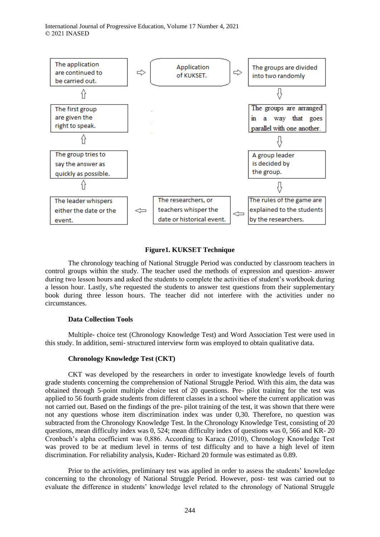

## **Figure1. KUKSET Technique**

The chronology teaching of National Struggle Period was conducted by classroom teachers in control groups within the study. The teacher used the methods of expression and question- answer during two lesson hours and asked the students to complete the activities of student's workbook during a lesson hour. Lastly, s/he requested the students to answer test questions from their supplementary book during three lesson hours. The teacher did not interfere with the activities under no circumstances.

#### **Data Collection Tools**

Multiple- choice test (Chronology Knowledge Test) and Word Association Test were used in this study. In addition, semi- structured interview form was employed to obtain qualitative data.

### **Chronology Knowledge Test (CKT)**

CKT was developed by the researchers in order to investigate knowledge levels of fourth grade students concerning the comprehension of National Struggle Period. With this aim, the data was obtained through 5-point multiple choice test of 20 questions. Pre- pilot training for the test was applied to 56 fourth grade students from different classes in a school where the current application was not carried out. Based on the findings of the pre- pilot training of the test, it was shown that there were not any questions whose item discrimination index was under 0,30. Therefore, no question was subtracted from the Chronology Knowledge Test. In the Chronology Knowledge Test, consisting of 20 questions, mean difficulty index was 0, 524; mean difficulty index of questions was 0, 566 and KR- 20 Cronbach's alpha coefficient was 0,886. According to Karaca (2010), Chronology Knowledge Test was proved to be at medium level in terms of test difficulty and to have a high level of item discrimination. For reliability analysis, Kuder- Richard 20 formule was estimated as 0.89.

Prior to the activities, preliminary test was applied in order to assess the students' knowledge concerning to the chronology of National Struggle Period. However, post- test was carried out to evaluate the difference in students' knowledge level related to the chronology of National Struggle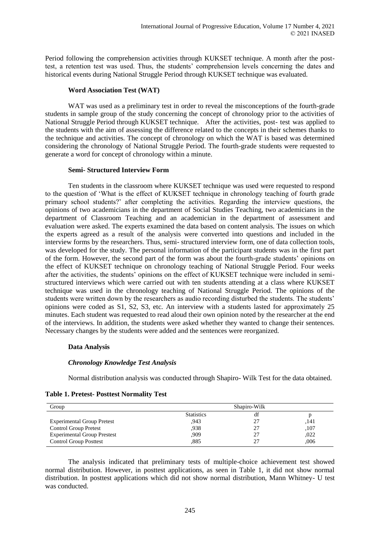Period following the comprehension activities through KUKSET technique. A month after the posttest, a retention test was used. Thus, the students' comprehension levels concerning the dates and historical events during National Struggle Period through KUKSET technique was evaluated.

## **Word Association Test (WAT)**

WAT was used as a preliminary test in order to reveal the misconceptions of the fourth-grade students in sample group of the study concerning the concept of chronology prior to the activities of National Struggle Period through KUKSET technique. After the activities, post- test was applied to the students with the aim of assessing the difference related to the concepts in their schemes thanks to the technique and activities. The concept of chronology on which the WAT is based was determined considering the chronology of National Struggle Period. The fourth-grade students were requested to generate a word for concept of chronology within a minute.

## **Semi- Structured Interview Form**

Ten students in the classroom where KUKSET technique was used were requested to respond to the question of 'What is the effect of KUKSET technique in chronology teaching of fourth grade primary school students?' after completing the activities. Regarding the interview questions, the opinions of two academicians in the department of Social Studies Teaching, two academicians in the department of Classroom Teaching and an academician in the department of assessment and evaluation were asked. The experts examined the data based on content analysis. The issues on which the experts agreed as a result of the analysis were converted into questions and included in the interview forms by the researchers. Thus, semi- structured interview form, one of data collection tools, was developed for the study. The personal information of the participant students was in the first part of the form. However, the second part of the form was about the fourth-grade students' opinions on the effect of KUKSET technique on chronology teaching of National Struggle Period. Four weeks after the activities, the students' opinions on the effect of KUKSET technique were included in semistructured interviews which were carried out with ten students attending at a class where KUKSET technique was used in the chronology teaching of National Struggle Period. The opinions of the students were written down by the researchers as audio recording disturbed the students. The students' opinions were coded as S1, S2, S3, etc. An interview with a students lasted for approximately 25 minutes. Each student was requested to read aloud their own opinion noted by the researcher at the end of the interviews. In addition, the students were asked whether they wanted to change their sentences. Necessary changes by the students were added and the sentences were reorganized.

## **Data Analysis**

## *Chronology Knowledge Test Analysis*

Normal distribution analysis was conducted through Shapiro- Wilk Test for the data obtained.

|  |  |  | <b>Table 1. Pretest-Posttest Normality Test</b> |  |
|--|--|--|-------------------------------------------------|--|
|--|--|--|-------------------------------------------------|--|

| Group                              |                   | Shapiro-Wilk |      |
|------------------------------------|-------------------|--------------|------|
|                                    | <b>Statistics</b> |              |      |
| <b>Experimental Group Pretest</b>  | .943              | 27           | ,141 |
| <b>Control Group Pretest</b>       | .938              |              | ,107 |
| <b>Experimental Group Prestest</b> | .909              | 27           | ,022 |
| <b>Control Group Posttest</b>      | .885              | רר           | ,006 |

The analysis indicated that preliminary tests of multiple-choice achievement test showed normal distribution. However, in posttest applications, as seen in Table 1, it did not show normal distribution. In posttest applications which did not show normal distribution, Mann Whitney- U test was conducted.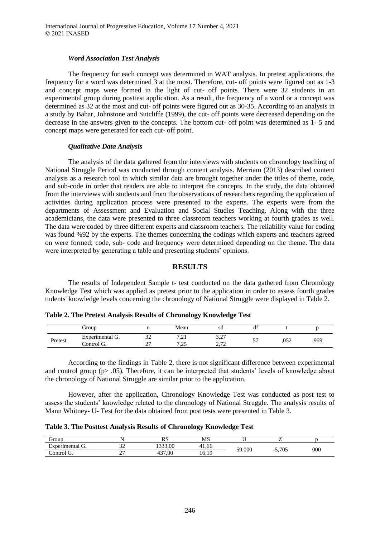## *Word Association Test Analysis*

The frequency for each concept was determined in WAT analysis. In pretest applications, the frequency for a word was determined 3 at the most. Therefore, cut- off points were figured out as 1-3 and concept maps were formed in the light of cut- off points. There were 32 students in an experimental group during posttest application. As a result, the frequency of a word or a concept was determined as 32 at the most and cut- off points were figured out as 30-35. According to an analysis in a study by Bahar, Johnstone and Sutcliffe (1999), the cut- off points were decreased depending on the decrease in the answers given to the concepts. The bottom cut- off point was determined as 1- 5 and concept maps were generated for each cut- off point.

## *Qualitative Data Analysis*

The analysis of the data gathered from the interviews with students on chronology teaching of National Struggle Period was conducted through content analysis. Merriam (2013) described content analysis as a research tool in which similar data are brought together under the titles of theme, code, and sub-code in order that readers are able to interpret the concepts. In the study, the data obtained from the interviews with students and from the observations of researchers regarding the application of activities during application process were presented to the experts. The experts were from the departments of Assessment and Evaluation and Social Studies Teaching. Along with the three academicians, the data were presented to three classroom teachers working at fourth grades as well. The data were coded by three different experts and classroom teachers. The reliability value for coding was found %92 by the experts. The themes concerning the codings which experts and teachers agreed on were formed; code, sub- code and frequency were determined depending on the theme. The data were interpreted by generating a table and presenting students' opinions.

## **RESULTS**

The results of Independent Sample t- test conducted on the data gathered from Chronology Knowledge Test which was applied as pretest prior to the application in order to assess fourth grades tudents' knowledge levels concerning the chronology of National Struggle were displayed in Table 2.

|         | Group           |                  | Mean                        | sd             | $\sim$ $\sim$<br>đÌ   |      |            |
|---------|-----------------|------------------|-----------------------------|----------------|-----------------------|------|------------|
| Pretest | Experimental G. | $\sim$<br>ے ب    | $\mathbf{r}$<br>ه سم و      | 2.27<br>ا عروب | $\epsilon$            | ,052 | <b>050</b> |
|         | control<br>J.   | $\sim$<br>$\sim$ | $\cap \subset$<br>−<br>ت ہے | $\sim$ 70      | $\tilde{\phantom{a}}$ |      | رں ر       |

**Table 2. The Pretest Analysis Results of Chronology Knowledge Test**

According to the findings in Table 2, there is not significant difference between experimental and control group ( $p>0.05$ ). Therefore, it can be interpreted that students' levels of knowledge about the chronology of National Struggle are similar prior to the application.

However, after the application, Chronology Knowledge Test was conducted as post test to assess the students' knowledge related to the chronology of National Struggle. The analysis results of Mann Whitney- U- Test for the data obtained from post tests were presented in Table 3.

| Table 3. The Posttest Analysis Results of Chronology Knowledge Test |  |  |  |  |
|---------------------------------------------------------------------|--|--|--|--|
|---------------------------------------------------------------------|--|--|--|--|

| Group                          |               | n c<br>177)                 | MS          |        |               |     |
|--------------------------------|---------------|-----------------------------|-------------|--------|---------------|-----|
| $\forall$ xperimental $\cup$ . | $\sim$<br>ے ب | 1222.00<br>1 <i>333</i> ,00 | 41,66       | 59.000 |               | 000 |
| $\sqrt{2}$<br>Control '<br>J.  | -             | 437.00                      | 19<br>10,12 |        | $-5,705$<br>- |     |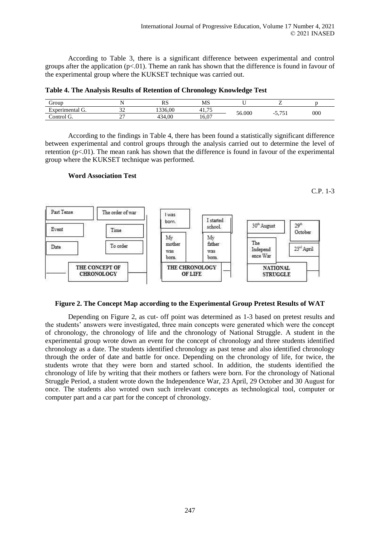According to Table 3, there is a significant difference between experimental and control groups after the application  $(p<0.01)$ . Theme an rank has shown that the difference is found in favour of the experimental group where the KUKSET technique was carried out.

|  | Table 4. The Analysis Results of Retention of Chronology Knowledge Test |  |  |
|--|-------------------------------------------------------------------------|--|--|
|--|-------------------------------------------------------------------------|--|--|

| drour                            |                | DC<br>ωı | MS                                |        |            |     |
|----------------------------------|----------------|----------|-----------------------------------|--------|------------|-----|
| $\sqrt{2}$<br>Experimental<br>U. | $\sim$<br>ے ب  | 1336,00  | $\overline{\phantom{a}}$<br>41,73 |        | $- -$      |     |
| $\sqrt{2}$<br>control.           | ~~<br><u>_</u> | 00,1     | 16.07                             | 56.000 | , , ,<br>້ | 000 |

According to the findings in Table 4, there has been found a statistically significant difference between experimental and control groups through the analysis carried out to determine the level of retention  $(p<0.01)$ . The mean rank has shown that the difference is found in favour of the experimental group where the KUKSET technique was performed.

## **Word Association Test**



#### **Figure 2. The Concept Map according to the Experimental Group Pretest Results of WAT**

Depending on Figure 2, as cut- off point was determined as 1-3 based on pretest results and the students' answers were investigated, three main concepts were generated which were the concept of chronology, the chronology of life and the chronology of National Struggle. A student in the experimental group wrote down an event for the concept of chronology and three students identified chronology as a date. The students identified chronology as past tense and also identified chronology through the order of date and battle for once. Depending on the chronology of life, for twice, the students wrote that they were born and started school. In addition, the students identified the chronology of life by writing that their mothers or fathers were born. For the chronology of National Struggle Period, a student wrote down the Independence War, 23 April, 29 October and 30 August for once. The students also wroted own such irrelevant concepts as technological tool, computer or computer part and a car part for the concept of chronology.

C.P. 1-3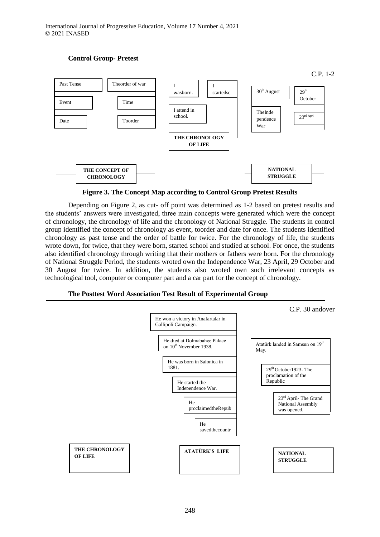# **Control Group- Pretest**



**Figure 3. The Concept Map according to Control Group Pretest Results**

Depending on Figure 2, as cut- off point was determined as 1-2 based on pretest results and the students' answers were investigated, three main concepts were generated which were the concept of chronology, the chronology of life and the chronology of National Struggle. The students in control group identified the concept of chronology as event, toorder and date for once. The students identified chronology as past tense and the order of battle for twice. For the chronology of life, the students wrote down, for twice, that they were born, started school and studied at school. For once, the students also identified chronology through writing that their mothers or fathers were born. For the chronology of National Struggle Period, the students wroted own the Independence War, 23 April, 29 October and 30 August for twice. In addition, the students also wroted own such irrelevant concepts as technological tool, computer or computer part and a car part for the concept of chronology.



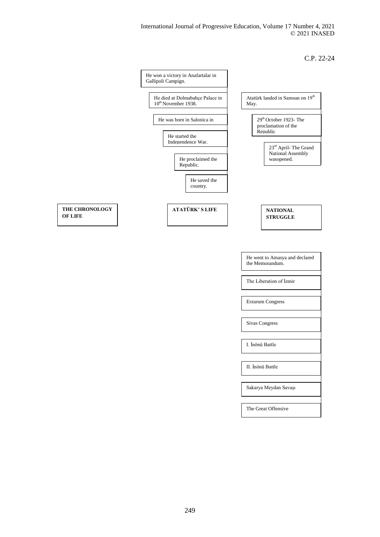C.P. 22-24

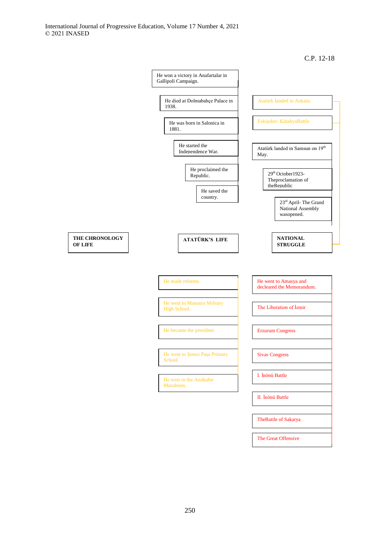C.P. 12-18

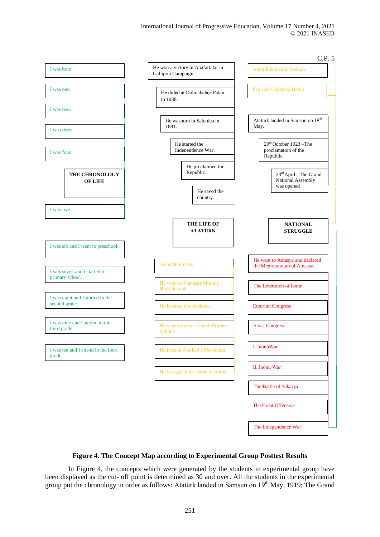

# **Figure 4. The Concept Map according to Experimental Group Posttest Results**

In Figure 4, the concepts which were generated by the students in experimental group have been displayed as the cut- off point is determined as 30 and over. All the students in the experimental group put the chronology in order as follows: Atatürk landed in Samsun on 19<sup>th</sup> May, 1919; The Grand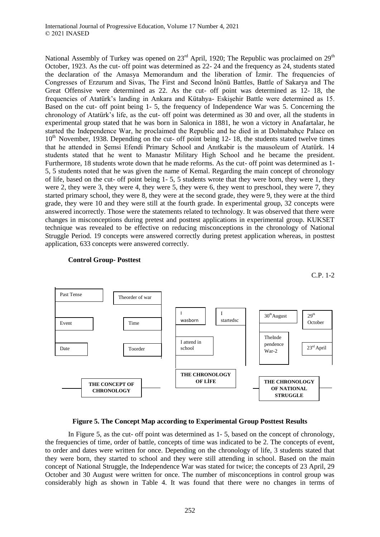National Assembly of Turkey was opened on  $23<sup>rd</sup>$  April, 1920; The Republic was proclaimed on  $29<sup>th</sup>$ October, 1923. As the cut- off point was determined as 22- 24 and the frequency as 24, students stated the declaration of the Amasya Memorandum and the liberation of İzmir. The frequencies of Congresses of Erzurum and Sivas, The First and Second İnönü Battles, Battle of Sakarya and The Great Offensive were determined as 22. As the cut- off point was determined as 12- 18, the frequencies of Atatürk's landing in Ankara and Kütahya- Eskişehir Battle were determined as 15. Based on the cut- off point being 1- 5, the frequency of Independence War was 5. Concerning the chronology of Atatürk's life, as the cut- off point was determined as 30 and over, all the students in experimental group stated that he was born in Salonica in 1881, he won a victory in Anafartalar, he started the Independence War, he proclaimed the Republic and he died in at Dolmabahçe Palace on  $10<sup>th</sup>$  November, 1938. Depending on the cut- off point being 12-18, the students stated twelve times that he attended in Şemsi Efendi Primary School and Anıtkabir is the mausoleum of Atatürk. 14 students stated that he went to Manastır Military High School and he became the president. Furthermore, 18 students wrote down that he made reforms. As the cut- off point was determined as 1- 5, 5 students noted that he was given the name of Kemal. Regarding the main concept of chronology of life, based on the cut- off point being 1- 5, 5 students wrote that they were born, they were 1, they were 2, they were 3, they were 4, they were 5, they were 6, they went to preschool, they were 7, they started primary school, they were 8, they were at the second grade, they were 9, they were at the third grade, they were 10 and they were still at the fourth grade. In experimental group, 32 concepts were answered incorrectly. Those were the statements related to technology. It was observed that there were changes in misconceptions during pretest and posttest applications in experimental group. KUKSET technique was revealed to be effective on reducing misconceptions in the chronology of National Struggle Period. 19 concepts were answered correctly during pretest application whereas, in posttest application, 633 concepts were answered correctly.



#### **Control Group- Posttest**

#### **Figure 5. The Concept Map according to Experimental Group Posttest Results**

In Figure 5, as the cut- off point was determined as 1- 5, based on the concept of chronology, the frequencies of time, order of battle, concepts of time was indicated to be 2. The concepts of event, to order and dates were written for once. Depending on the chronology of life, 3 students stated that they were born, they started to school and they were still attending in school. Based on the main concept of National Struggle, the Independence War was stated for twice; the concepts of 23 April, 29 October and 30 August were written for once. The number of misconceptions in control group was considerably high as shown in Table 4. It was found that there were no changes in terms of

252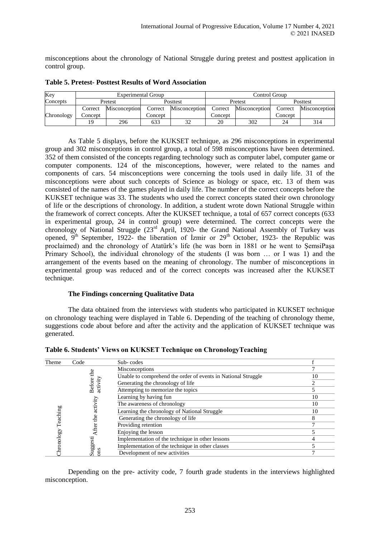misconceptions about the chronology of National Struggle during pretest and posttest application in control group.

| Key        | <b>Experimental Group</b> |               |         |               | Control Group |               |         |               |
|------------|---------------------------|---------------|---------|---------------|---------------|---------------|---------|---------------|
| Concepts   |                           | Pretest       |         | Posttest      |               | Pretest       |         | Posttest      |
|            | Correct                   | Misconception | Correct | Misconception | Correct       | Misconception | Correct | Misconception |
| Chronology | Concept                   |               | Concept |               | Concept       |               | Concept |               |
|            | 1 Q                       | 296           | 633     | ے ر           | 20            | 302           | 24      | 314           |

**Table 5. Pretest- Posttest Results of Word Association**

As Table 5 displays, before the KUKSET technique, as 296 misconceptions in experimental group and 302 misconceptions in control group, a total of 598 misconceptions have been determined. 352 of them consisted of the concepts regarding technology such as computer label, computer game or computer components. 124 of the misconceptions, however, were related to the names and components of cars. 54 misconceptions were concerning the tools used in daily life. 31 of the misconceptions were about such concepts of Science as biology or space, etc. 13 of them was consisted of the names of the games played in daily life. The number of the correct concepts before the KUKSET technique was 33. The students who used the correct concepts stated their own chronology of life or the descriptions of chronology. In addition, a student wrote down National Struggle within the framework of correct concepts. After the KUKSET technique, a total of 657 correct concepts (633 in experimental group, 24 in control group) were determined. The correct concepts were the chronology of National Struggle (23<sup>rd</sup> April, 1920- the Grand National Assembly of Turkey was opened,  $9<sup>th</sup>$  September, 1922- the liberation of Izmir or  $29<sup>th</sup>$  October, 1923- the Republic was proclaimed) and the chronology of Atatürk's life (he was born in 1881 or he went to ŞemsiPaşa Primary School), the individual chronology of the students (I was born … or I was 1) and the arrangement of the events based on the meaning of chronology. The number of misconceptions in experimental group was reduced and of the correct concepts was increased after the KUKSET technique.

# **The Findings concerning Qualitative Data**

The data obtained from the interviews with students who participated in KUKSET technique on chronology teaching were displayed in Table 6. Depending of the teaching of chronology theme, suggestions code about before and after the activity and the application of KUKSET technique was generated.

| Theme      | Code                      | Sub-codes                                                     |    |
|------------|---------------------------|---------------------------------------------------------------|----|
|            |                           | Misconceptions                                                |    |
|            | de                        | Unable to comprehend the order of events in National Struggle | 10 |
|            |                           | Generating the chronology of life                             |    |
|            | <b>Before</b><br>activity | Attempting to memorize the topics                             |    |
|            |                           | Learning by having fun                                        | 10 |
|            | activity                  | The awareness of chronology                                   | 10 |
| Teaching   |                           | Learning the chronology of National Struggle                  | 10 |
|            | the                       | Generating the chronology of life                             | o  |
|            |                           | Providing retention                                           |    |
|            | After                     | Enjoying the lesson                                           |    |
|            |                           | Implementation of the technique in other lessons              |    |
| Chronology | uggesti                   | Implementation of the technique in other classes              |    |
|            | ons<br>Ď                  | Development of new activities                                 |    |

**Table 6. Students' Views on KUKSET Technique on ChronologyTeaching**

Depending on the pre- activity code, 7 fourth grade students in the interviews highlighted misconception.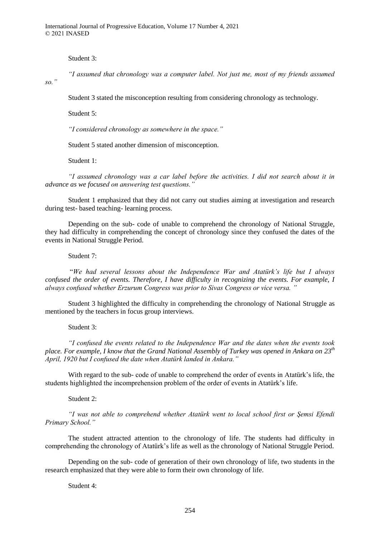International Journal of Progressive Education, Volume 17 Number 4, 2021 © 2021 INASED

Student 3:

*"I assumed that chronology was a computer label. Not just me, most of my friends assumed* 

*so."* 

Student 3 stated the misconception resulting from considering chronology as technology.

Student 5:

*"I considered chronology as somewhere in the space."* 

Student 5 stated another dimension of misconception.

Student 1:

*"I assumed chronology was a car label before the activities. I did not search about it in advance as we focused on answering test questions."* 

Student 1 emphasized that they did not carry out studies aiming at investigation and research during test- based teaching- learning process.

Depending on the sub- code of unable to comprehend the chronology of National Struggle, they had difficulty in comprehending the concept of chronology since they confused the dates of the events in National Struggle Period.

## Student 7:

"*We had several lessons about the Independence War and Atatürk's life but I always confused the order of events. Therefore, I have difficulty in recognizing the events. For example, I always confused whether Erzurum Congress was prior to Sivas Congress or vice versa. "*

Student 3 highlighted the difficulty in comprehending the chronology of National Struggle as mentioned by the teachers in focus group interviews.

Student 3:

*"I confused the events related to the Independence War and the dates when the events took place. For example, I know that the Grand National Assembly of Turkey was opened in Ankara on 23th April, 1920 but I confused the date when Atatürk landed in Ankara."* 

With regard to the sub- code of unable to comprehend the order of events in Atatürk's life, the students highlighted the incomprehension problem of the order of events in Atatürk's life.

#### Student 2:

*"I was not able to comprehend whether Atatürk went to local school first or Şemsi Efendi Primary School."*

The student attracted attention to the chronology of life. The students had difficulty in comprehending the chronology of Atatürk's life as well as the chronology of National Struggle Period.

Depending on the sub- code of generation of their own chronology of life, two students in the research emphasized that they were able to form their own chronology of life.

Student 4: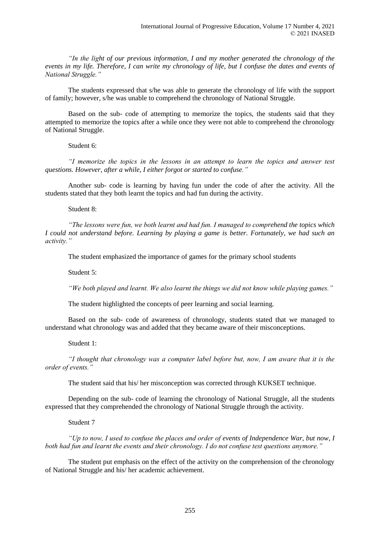*"In the light of our previous information, I and my mother generated the chronology of the events in my life. Therefore, I can write my chronology of life, but I confuse the dates and events of National Struggle."* 

The students expressed that s/he was able to generate the chronology of life with the support of family; however, s/he was unable to comprehend the chronology of National Struggle.

Based on the sub- code of attempting to memorize the topics, the students said that they attempted to memorize the topics after a while once they were not able to comprehend the chronology of National Struggle.

Student 6:

*"I memorize the topics in the lessons in an attempt to learn the topics and answer test questions. However, after a while, I either forgot or started to confuse."*

Another sub- code is learning by having fun under the code of after the activity. All the students stated that they both learnt the topics and had fun during the activity.

Student 8:

*"The lessons were fun, we both learnt and had fun. I managed to comprehend the topics which I could not understand before. Learning by playing a game is better. Fortunately, we had such an activity."*

The student emphasized the importance of games for the primary school students

Student 5:

*"We both played and learnt. We also learnt the things we did not know while playing games."* 

The student highlighted the concepts of peer learning and social learning.

Based on the sub- code of awareness of chronology, students stated that we managed to understand what chronology was and added that they became aware of their misconceptions.

Student 1:

*"I thought that chronology was a computer label before but, now, I am aware that it is the order of events."*

The student said that his/ her misconception was corrected through KUKSET technique.

Depending on the sub- code of learning the chronology of National Struggle, all the students expressed that they comprehended the chronology of National Struggle through the activity.

Student 7

*"Up to now, I used to confuse the places and order of events of Independence War, but now, I both had fun and learnt the events and their chronology. I do not confuse test questions anymore."*

The student put emphasis on the effect of the activity on the comprehension of the chronology of National Struggle and his/ her academic achievement.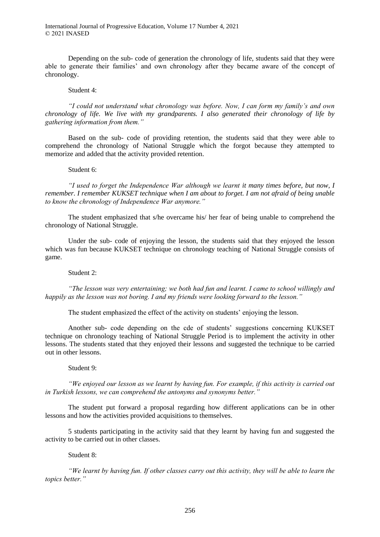Depending on the sub- code of generation the chronology of life, students said that they were able to generate their families' and own chronology after they became aware of the concept of chronology.

#### Student 4:

*"I could not understand what chronology was before. Now, I can form my family's and own chronology of life. We live with my grandparents. I also generated their chronology of life by gathering information from them."* 

Based on the sub- code of providing retention, the students said that they were able to comprehend the chronology of National Struggle which the forgot because they attempted to memorize and added that the activity provided retention.

#### Student 6:

*"I used to forget the Independence War although we learnt it many times before, but now, I remember. I remember KUKSET technique when I am about to forget. I am not afraid of being unable to know the chronology of Independence War anymore."*

The student emphasized that s/he overcame his/ her fear of being unable to comprehend the chronology of National Struggle.

Under the sub- code of enjoying the lesson, the students said that they enjoyed the lesson which was fun because KUKSET technique on chronology teaching of National Struggle consists of game.

## Student 2:

*"The lesson was very entertaining; we both had fun and learnt. I came to school willingly and happily as the lesson was not boring. I and my friends were looking forward to the lesson."*

The student emphasized the effect of the activity on students' enjoying the lesson.

Another sub- code depending on the cde of students' suggestions concerning KUKSET technique on chronology teaching of National Struggle Period is to implement the activity in other lessons. The students stated that they enjoyed their lessons and suggested the technique to be carried out in other lessons.

## Student 9:

*"We enjoyed our lesson as we learnt by having fun. For example, if this activity is carried out in Turkish lessons, we can comprehend the antonyms and synonyms better."* 

The student put forward a proposal regarding how different applications can be in other lessons and how the activities provided acquisitions to themselves.

5 students participating in the activity said that they learnt by having fun and suggested the activity to be carried out in other classes.

#### Student 8:

*"We learnt by having fun. If other classes carry out this activity, they will be able to learn the topics better."*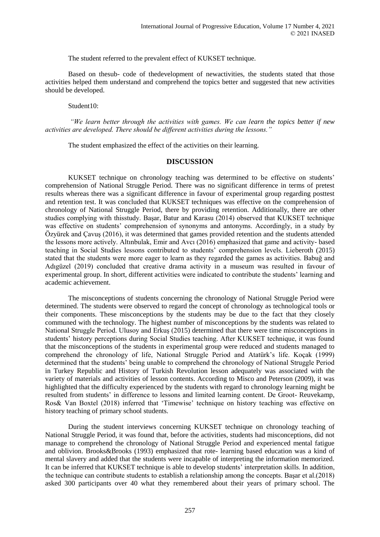The student referred to the prevalent effect of KUKSET technique.

Based on thesub- code of thedevelopment of newactivities, the students stated that those activities helped them understand and comprehend the topics better and suggested that new activities should be developed.

Student10:

*"We learn better through the activities with games. We can learn the topics better if new activities are developed. There should be different activities during the lessons."* 

The student emphasized the effect of the activities on their learning.

## **DISCUSSION**

KUKSET technique on chronology teaching was determined to be effective on students' comprehension of National Struggle Period. There was no significant difference in terms of pretest results whereas there was a significant difference in favour of experimental group regarding posttest and retention test. It was concluded that KUKSET techniques was effective on the comprehension of chronology of National Struggle Period, there by providing retention. Additionally, there are other studies complying with thisstudy. Başar, Batur and Karasu (2014) observed that KUKSET technique was effective on students' comprehension of synonyms and antonyms. Accordingly, in a study by Özyürek and Çavuş (2016), it was determined that games provided retention and the students attended the lessons more actively. Altınbulak, Emir and Avcı (2016) emphasized that game and activity- based teaching in Social Studies lessons contributed to students' comprehension levels. Lieberoth (2015) stated that the students were more eager to learn as they regarded the games as activities. Babuğ and Adıgüzel (2019) concluded that creative drama activity in a museum was resulted in favour of experimental group. In short, different activities were indicated to contribute the students' learning and academic achievement.

The misconceptions of students concerning the chronology of National Struggle Period were determined. The students were observed to regard the concept of chronology as technological tools or their components. These misconceptions by the students may be due to the fact that they closely communed with the technology. The highest number of misconceptions by the students was related to National Struggle Period. Ulusoy and Erkuş (2015) determined that there were time misconceptions in students' history perceptions during Social Studies teaching. After KUKSET technique, it was found that the misconceptions of the students in experimental group were reduced and students managed to comprehend the chronology of life, National Struggle Period and Atatürk's life. Koçak (1999) determined that the students' being unable to comprehend the chronology of National Struggle Period in Turkey Republic and History of Turkish Revolution lesson adequately was associated with the variety of materials and activities of lesson contents. According to Misco and Peterson (2009), it was highlighted that the difficulty experienced by the students with regard to chronology learning might be resulted from students' in difference to lessons and limited learning content. De Groot- Reuvekamp, Ros& Van Boxtel (2018) inferred that 'Timewise' technique on history teaching was effective on history teaching of primary school students.

During the student interviews concerning KUKSET technique on chronology teaching of National Struggle Period, it was found that, before the activities, students had misconceptions, did not manage to comprehend the chronology of National Struggle Period and experienced mental fatigue and oblivion. Brooks&Brooks (1993) emphasized that rote- learning based education was a kind of mental slavery and added that the students were incapable of interpreting the information memorized. It can be inferred that KUKSET technique is able to develop students' interpretation skills. In addition, the technique can contribute students to establish a relationship among the concepts. Başar et al.(2018) asked 300 participants over 40 what they remembered about their years of primary school. The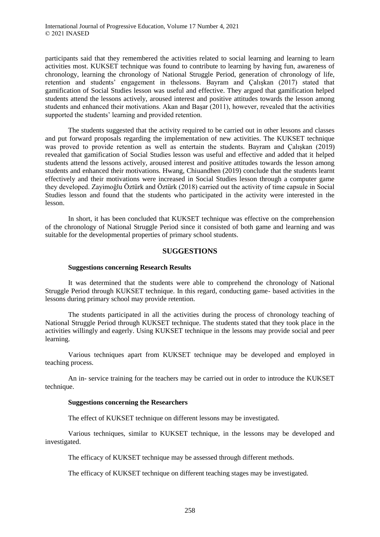participants said that they remembered the activities related to social learning and learning to learn activities most. KUKSET technique was found to contribute to learning by having fun, awareness of chronology, learning the chronology of National Struggle Period, generation of chronology of life, retention and students' engagement in thelessons. Bayram and Çalışkan (2017) stated that gamification of Social Studies lesson was useful and effective. They argued that gamification helped students attend the lessons actively, aroused interest and positive attitudes towards the lesson among students and enhanced their motivations. Akan and Başar (2011), however, revealed that the activities supported the students' learning and provided retention.

The students suggested that the activity required to be carried out in other lessons and classes and put forward proposals regarding the implementation of new activities. The KUKSET technique was proved to provide retention as well as entertain the students. Bayram and Caliskan (2019) revealed that gamification of Social Studies lesson was useful and effective and added that it helped students attend the lessons actively, aroused interest and positive attitudes towards the lesson among students and enhanced their motivations. Hwang, Chiuandhen (2019) conclude that the students learnt effectively and their motivations were increased in Social Studies lesson through a computer game they developed. Zayimoğlu Öztürk and Öztürk (2018) carried out the activity of time capsule in Social Studies lesson and found that the students who participated in the activity were interested in the lesson.

In short, it has been concluded that KUKSET technique was effective on the comprehension of the chronology of National Struggle Period since it consisted of both game and learning and was suitable for the developmental properties of primary school students.

# **SUGGESTIONS**

#### **Suggestions concerning Research Results**

It was determined that the students were able to comprehend the chronology of National Struggle Period through KUKSET technique. In this regard, conducting game- based activities in the lessons during primary school may provide retention.

The students participated in all the activities during the process of chronology teaching of National Struggle Period through KUKSET technique. The students stated that they took place in the activities willingly and eagerly. Using KUKSET technique in the lessons may provide social and peer learning.

Various techniques apart from KUKSET technique may be developed and employed in teaching process.

An in- service training for the teachers may be carried out in order to introduce the KUKSET technique.

# **Suggestions concerning the Researchers**

The effect of KUKSET technique on different lessons may be investigated.

Various techniques, similar to KUKSET technique, in the lessons may be developed and investigated.

The efficacy of KUKSET technique may be assessed through different methods.

The efficacy of KUKSET technique on different teaching stages may be investigated.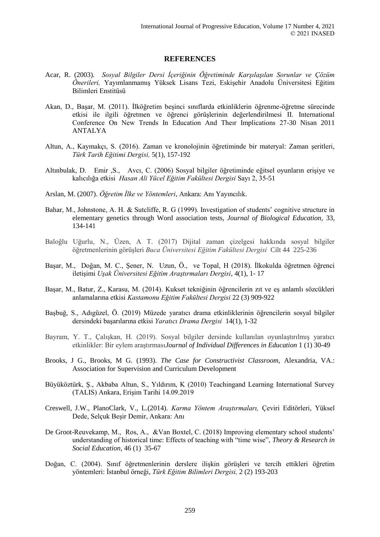## **REFERENCES**

- Acar, R. (2003). *Sosyal Bilgiler Dersi İçeriğinin Öğretiminde Karşılaşılan Sorunlar ve Çözüm Önerileri,* Yayımlanmamış Yüksek Lisans Tezi, Eskişehir Anadolu Üniversitesi Eğitim Bilimleri Enstitüsü
- Akan, D., Başar, M. (2011). İlköğretim beşinci sınıflarda etkinliklerin öğrenme-öğretme sürecinde etkisi ile ilgili öğretmen ve öğrenci görüşlerinin değerlendirilmesi II. International Conference On New Trends In Education And Theır Implications 27-30 Nisan 2011 ANTALYA
- Altun, A., Kaymakçı, S. (2016). Zaman ve kronolojinin öğretiminde bir materyal: Zaman şeritleri, *Türk Tarih Eğitimi Dergisi,* 5(1), 157-192
- Altınbulak, D. Emir ,S., Avcı, C. (2006) Sosyal bilgiler öğretiminde eğitsel oyunların erişiye ve kalıcılığa etkisi *Hasan Ali Yücel Eğitim Fakültesi Dergisi* Sayı 2, 35-51
- Arslan, M. (2007). *Öğretim İlke ve Yöntemleri*, Ankara: Anı Yayıncılık.
- Bahar, M., Johnstone, A. H. & Sutcliffe, R. G (1999). Investigation of students' cognitive structure in elementary genetics through Word association tests, *Journal of Biological Education,* 33, 134-141
- Baloğlu Uğurlu, N., Üzen, A T. (2017) Dijital zaman çizelgesi hakkında sosyal bilgiler öğretmenlerinin görüşleri *Buca Üniversitesi Eğitim Fakültesi Dergisi* Cilt 44 225-236
- Başar, M., Doğan, M. C., Şener, N. Uzun, Ö., ve Topal, H (2018). İlkokulda öğretmen öğrenci iletişimi *Uşak Üniversitesi Eğitim Araştırmaları Dergisi*, 4(1), 1- 17
- Başar, M., Batur, Z., Karasu, M. (2014). Kukset tekniğinin öğrencilerin zıt ve eş anlamlı sözcükleri anlamalarına etkisi *Kastamonu Eğitim Fakültesi Dergisi* 22 (3) 909-922
- Başbuğ, S., Adıgüzel, Ö. (2019) Müzede yaratıcı drama etkinliklerinin öğrencilerin sosyal bilgiler dersindeki başarılarına etkisi *Yaratıcı Drama Dergisi* 14(1), 1-32
- Bayram, Y. T., Çalışkan, H. (2019). Sosyal bilgiler dersinde kullanılan oyunlaştırılmış yaratıcı etkinlikler: Bir eylem araştırması*Journal of Individual Differences in Education* 1 (1) 30-49
- Brooks, J G., Brooks, M G. (1993). *The Case for Constructivist Classroom,* Alexandria, VA.: Association for Supervision and Curriculum Development
- Büyüköztürk, Ş., Akbaba Altun, S., Yıldırım, K (2010) Teachingand Learning International Survey (TALIS) Ankara, Erişim Tarihi 14.09.2019
- Creswell, J.W., PlanoClark, V., L.(2014). *Karma Yöntem Araştırmaları,* Çeviri Editörleri, Yüksel Dede, Selçuk Beşir Demir, Ankara: Anı
- De Groot-Reuvekamp, M., Ros, A., &Van Boxtel, C. (2018) Improving elementary school students' understanding of historical time: Effects of teaching with "time wise", *Theory & Research in Social Education,* 46 (1) 35-67
- Doğan, C. (2004). Sınıf öğretmenlerinin derslere ilişkin görüşleri ve tercih ettikleri öğretim yöntemleri: İstanbul örneği, *Türk Eğitim Bilimleri Dergisi,* 2 (2) 193-203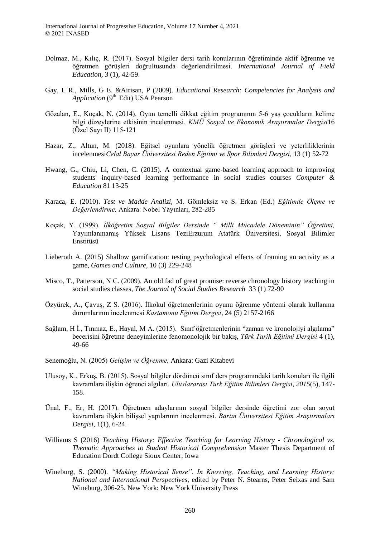International Journal of Progressive Education, Volume 17 Number 4, 2021 © 2021 INASED

- Dolmaz, M., Kılıç, R. (2017). Sosyal bilgiler dersi tarih konularının öğretiminde aktif öğrenme ve öğretmen görüşleri doğrultusunda değerlendirilmesi. *International Journal of Field Education,* 3 (1), 42-59.
- Gay, L R., Mills, G E. &Airisan, P (2009). *Educational Research: Competencies for Analysis and Application* (9<sup>th</sup> Edit) USA Pearson
- Gözalan, E., Koçak, N. (2014). Oyun temelli dikkat eğitim programının 5-6 yaş çocukların kelime bilgi düzeylerine etkisinin incelenmesi*. KMÜ Sosyal ve Ekonomı k Araştırmalar Dergı si*16 (Özel Sayı II) 115-121
- Hazar, Z., Altun, M. (2018). Eğitsel oyunlara yönelik öğretmen görüşleri ve yeterliliklerinin incelenmesi*Celal Bayar Üniversitesi Beden Eğitimi ve Spor Bilimleri Dergisi,* 13 (1) 52-72
- Hwang, G., Chiu, Li, Chen, C. (2015). A contextual game-based learning approach to improving students' inquiry-based learning performance in social studies courses *Computer & Education* 81 13-25
- Karaca, E. (2010). *Test ve Madde Analizi,* M. Gömleksiz ve S. Erkan (Ed.) *Eğitimde Ölçme ve Değerlendirme,* Ankara: Nobel Yayınları, 282-285
- Koçak, Y. (1999). *İlköğretim Sosyal Bilgiler Dersinde " Milli Mücadele Döneminin" Öğretimi,*  Yayımlanmamış Yüksek Lisans TeziErzurum Atatürk Üniversitesi, Sosyal Bilimler Enstitüsü
- Lieberoth A. (2015) Shallow gamification: testing psychological effects of framing an activity as a game, *Games and Culture,* 10 (3) 229-248
- Misco, T., Patterson, N C. (2009). An old fad of great promise: reverse chronology history teaching in social studies classes, *The Journal of Social Studies Research* 33 (1) 72-90
- Özyürek, A., Çavuş, Z S. (2016). İlkokul öğretmenlerinin oyunu öğrenme yöntemi olarak kullanma durumlarının incelenmesi *Kastamonu Eğitim Dergisi*, 24 (5) 2157-2166
- Sağlam, H İ., Tınmaz, E., Hayal, M A. (2015). Sınıf öğretmenlerinin "zaman ve kronolojiyi algılama" becerisini öğretme deneyimlerine fenomonolojik bir bakış, *Türk Tarih Eğitimi Dergisi* 4 (1), 49-66
- Senemoğlu, N. (2005) *Gelişim ve Öğrenme,* Ankara: Gazi Kitabevi
- Ulusoy, K., Erkuş, B. (2015). Sosyal bilgiler dördüncü sınıf ders programındaki tarih konuları ile ilgili kavramlara ilişkin öğrenci algıları. *Uluslararası Türk Eğitim Bilimleri Dergisi*, *2015*(5), 147- 158.
- Ünal, F., Er, H. (2017). Öğretmen adaylarının sosyal bilgiler dersinde öğretimi zor olan soyut kavramlara ilişkin bilişsel yapılarının incelenmesi. *Bartın Üniversitesi Eğitim Araştırmaları Dergisi,* 1(1), 6-24.
- Williams S (2016) *Teaching History: Effective Teaching for Learning History - Chronological vs. Thematic Approaches to Student Historical Comprehension* Master Thesis Department of Education Dordt College Sioux Center, Iowa
- Wineburg, S. (2000). *"Making Historical Sense". In Knowing, Teaching, and Learning History: National and International Perspectives,* edited by Peter N. Stearns, Peter Seixas and Sam Wineburg, 306-25. New York: New York University Press